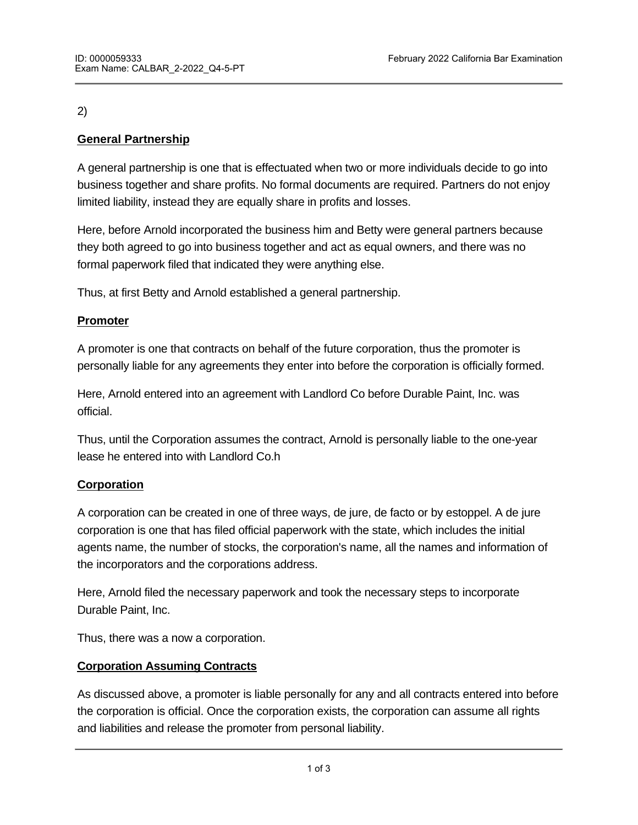# 2)

# **General Partnership**

A general partnership is one that is effectuated when two or more individuals decide to go into business together and share profits. No formal documents are required. Partners do not enjoy limited liability, instead they are equally share in profits and losses.

Here, before Arnold incorporated the business him and Betty were general partners because they both agreed to go into business together and act as equal owners, and there was no formal paperwork filed that indicated they were anything else.

Thus, at first Betty and Arnold established a general partnership.

## **Promoter**

A promoter is one that contracts on behalf of the future corporation, thus the promoter is personally liable for any agreements they enter into before the corporation is officially formed.

Here, Arnold entered into an agreement with Landlord Co before Durable Paint, Inc. was official.

Thus, until the Corporation assumes the contract, Arnold is personally liable to the one-year lease he entered into with Landlord Co.h

## **Corporation**

A corporation can be created in one of three ways, de jure, de facto or by estoppel. A de jure corporation is one that has filed official paperwork with the state, which includes the initial agents name, the number of stocks, the corporation's name, all the names and information of the incorporators and the corporations address.

Here, Arnold filed the necessary paperwork and took the necessary steps to incorporate Durable Paint, Inc.

Thus, there was a now a corporation.

## **Corporation Assuming Contracts**

As discussed above, a promoter is liable personally for any and all contracts entered into before the corporation is official. Once the corporation exists, the corporation can assume all rights and liabilities and release the promoter from personal liability.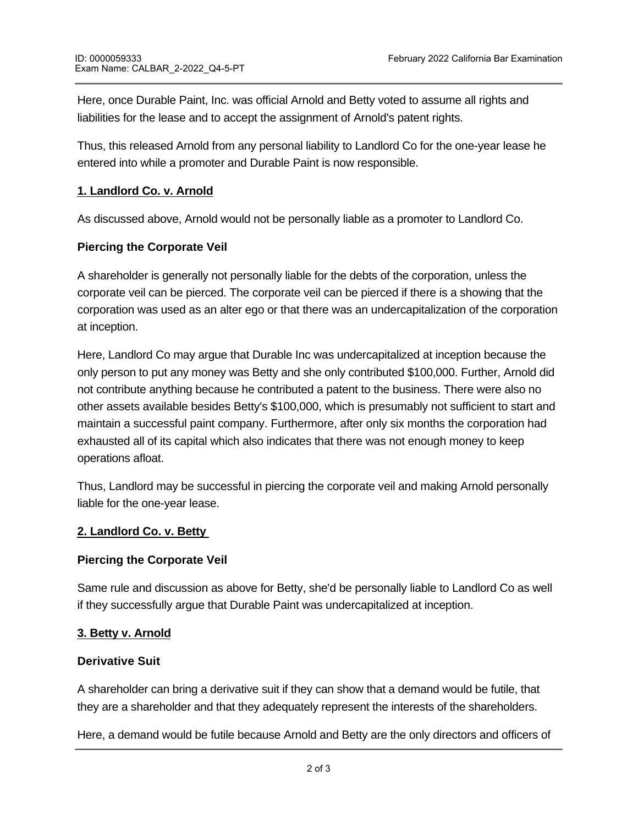Here, once Durable Paint, Inc. was official Arnold and Betty voted to assume all rights and liabilities for the lease and to accept the assignment of Arnold's patent rights.

Thus, this released Arnold from any personal liability to Landlord Co for the one-year lease he entered into while a promoter and Durable Paint is now responsible.

### **1. Landlord Co. v. Arnold**

As discussed above, Arnold would not be personally liable as a promoter to Landlord Co.

### **Piercing the Corporate Veil**

A shareholder is generally not personally liable for the debts of the corporation, unless the corporate veil can be pierced. The corporate veil can be pierced if there is a showing that the corporation was used as an alter ego or that there was an undercapitalization of the corporation at inception.

Here, Landlord Co may argue that Durable Inc was undercapitalized at inception because the only person to put any money was Betty and she only contributed \$100,000. Further, Arnold did not contribute anything because he contributed a patent to the business. There were also no other assets available besides Betty's \$100,000, which is presumably not sufficient to start and maintain a successful paint company. Furthermore, after only six months the corporation had exhausted all of its capital which also indicates that there was not enough money to keep operations afloat.

Thus, Landlord may be successful in piercing the corporate veil and making Arnold personally liable for the one-year lease.

#### **2. Landlord Co. v. Betty**

#### **Piercing the Corporate Veil**

Same rule and discussion as above for Betty, she'd be personally liable to Landlord Co as well if they successfully argue that Durable Paint was undercapitalized at inception.

#### **3. Betty v. Arnold**

#### **Derivative Suit**

A shareholder can bring a derivative suit if they can show that a demand would be futile, that they are a shareholder and that they adequately represent the interests of the shareholders.

Here, a demand would be futile because Arnold and Betty are the only directors and officers of

the corporation. Betty is a shareholder of the corporation and she adequately represents the corporation and she adequately represents the corporation and she adequately represents the corporation and she adequately repre